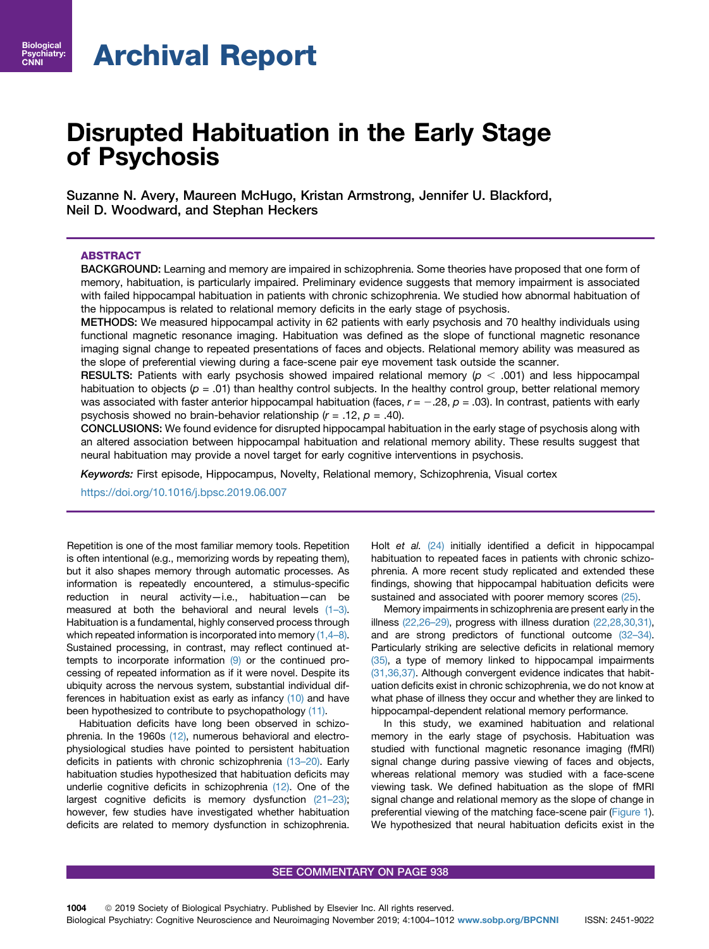# Archival Report

## Disrupted Habituation in the Early Stage of Psychosis

Suzanne N. Avery, Maureen McHugo, Kristan Armstrong, Jennifer U. Blackford, Neil D. Woodward, and Stephan Heckers

## ABSTRACT

BACKGROUND: Learning and memory are impaired in schizophrenia. Some theories have proposed that one form of memory, habituation, is particularly impaired. Preliminary evidence suggests that memory impairment is associated with failed hippocampal habituation in patients with chronic schizophrenia. We studied how abnormal habituation of the hippocampus is related to relational memory deficits in the early stage of psychosis.

METHODS: We measured hippocampal activity in 62 patients with early psychosis and 70 healthy individuals using functional magnetic resonance imaging. Habituation was defined as the slope of functional magnetic resonance imaging signal change to repeated presentations of faces and objects. Relational memory ability was measured as the slope of preferential viewing during a face-scene pair eye movement task outside the scanner.

RESULTS: Patients with early psychosis showed impaired relational memory ( $p < .001$ ) and less hippocampal habituation to objects ( $p = .01$ ) than healthy control subjects. In the healthy control group, better relational memory was associated with faster anterior hippocampal habituation (faces,  $r = -.28$ ,  $p = .03$ ). In contrast, patients with early psychosis showed no brain-behavior relationship  $(r = .12, p = .40)$ .

CONCLUSIONS: We found evidence for disrupted hippocampal habituation in the early stage of psychosis along with an altered association between hippocampal habituation and relational memory ability. These results suggest that neural habituation may provide a novel target for early cognitive interventions in psychosis.

Keywords: First episode, Hippocampus, Novelty, Relational memory, Schizophrenia, Visual cortex

<https://doi.org/10.1016/j.bpsc.2019.06.007>

Repetition is one of the most familiar memory tools. Repetition is often intentional (e.g., memorizing words by repeating them), but it also shapes memory through automatic processes. As information is repeatedly encountered, a stimulus-specific reduction in neural activity—i.e., habituation—can be measured at both the behavioral and neural levels [\(1](#page-6-0)–3). Habituation is a fundamental, highly conserved process through which repeated information is incorporated into memory  $(1,4-8)$  $(1,4-8)$ . Sustained processing, in contrast, may reflect continued attempts to incorporate information [\(9\)](#page-6-0) or the continued processing of repeated information as if it were novel. Despite its ubiquity across the nervous system, substantial individual differences in habituation exist as early as infancy [\(10\)](#page-6-0) and have been hypothesized to contribute to psychopathology [\(11\)](#page-6-0).

Habituation deficits have long been observed in schizo-phrenia. In the 1960s [\(12\),](#page-6-0) numerous behavioral and electrophysiological studies have pointed to persistent habituation deficits in patients with chronic schizophrenia (13–[20\).](#page-7-0) Early habituation studies hypothesized that habituation deficits may underlie cognitive deficits in schizophrenia [\(12\).](#page-6-0) One of the largest cognitive deficits is memory dysfunction [\(21](#page-7-0)–23); however, few studies have investigated whether habituation deficits are related to memory dysfunction in schizophrenia. Holt et al. [\(24\)](#page-7-0) initially identified a deficit in hippocampal habituation to repeated faces in patients with chronic schizophrenia. A more recent study replicated and extended these findings, showing that hippocampal habituation deficits were sustained and associated with poorer memory scores [\(25\)](#page-7-0).

Memory impairments in schizophrenia are present early in the illness [\(22,26](#page-7-0)–29), progress with illness duration [\(22,28,30,31\),](#page-7-0) and are strong predictors of functional outcome (32–[34\).](#page-7-0) Particularly striking are selective deficits in relational memory [\(35\),](#page-7-0) a type of memory linked to hippocampal impairments [\(31,36,37\).](#page-7-0) Although convergent evidence indicates that habituation deficits exist in chronic schizophrenia, we do not know at what phase of illness they occur and whether they are linked to hippocampal-dependent relational memory performance.

In this study, we examined habituation and relational memory in the early stage of psychosis. Habituation was studied with functional magnetic resonance imaging (fMRI) signal change during passive viewing of faces and objects, whereas relational memory was studied with a face-scene viewing task. We defined habituation as the slope of fMRI signal change and relational memory as the slope of change in preferential viewing of the matching face-scene pair [\(Figure 1\)](#page-1-0). We hypothesized that neural habituation deficits exist in the

#### SEE COMMENTARY ON PAGE 938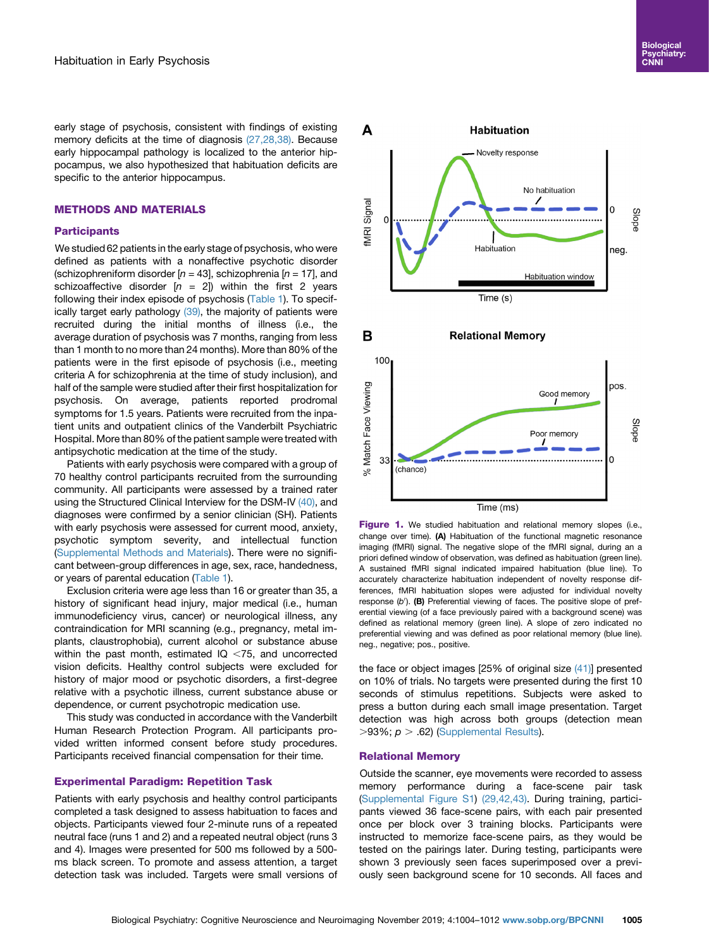<span id="page-1-0"></span>early stage of psychosis, consistent with findings of existing memory deficits at the time of diagnosis [\(27,28,38\)](#page-7-0). Because early hippocampal pathology is localized to the anterior hippocampus, we also hypothesized that habituation deficits are specific to the anterior hippocampus.

## METHODS AND MATERIALS

## **Participants**

We studied 62 patients in the early stage of psychosis, who were defined as patients with a nonaffective psychotic disorder (schizophreniform disorder  $[n = 43]$ , schizophrenia  $[n = 17]$ , and schizoaffective disorder  $[n = 2]$ ) within the first 2 years following their index episode of psychosis [\(Table 1\)](#page-2-0). To specif-ically target early pathology [\(39\)](#page-7-0), the majority of patients were recruited during the initial months of illness (i.e., the average duration of psychosis was 7 months, ranging from less than 1 month to no more than 24 months). More than 80% of the patients were in the first episode of psychosis (i.e., meeting criteria A for schizophrenia at the time of study inclusion), and half of the sample were studied after their first hospitalization for psychosis. On average, patients reported prodromal symptoms for 1.5 years. Patients were recruited from the inpatient units and outpatient clinics of the Vanderbilt Psychiatric Hospital. More than 80% of the patient sample were treated with antipsychotic medication at the time of the study.

Patients with early psychosis were compared with a group of 70 healthy control participants recruited from the surrounding community. All participants were assessed by a trained rater using the Structured Clinical Interview for the DSM-IV [\(40\),](#page-7-0) and diagnoses were confirmed by a senior clinician (SH). Patients with early psychosis were assessed for current mood, anxiety, psychotic symptom severity, and intellectual function ([Supplemental Methods and Materials\)](#page-8-0). There were no significant between-group differences in age, sex, race, handedness, or years of parental education ([Table 1](#page-2-0)).

Exclusion criteria were age less than 16 or greater than 35, a history of significant head injury, major medical (i.e., human immunodeficiency virus, cancer) or neurological illness, any contraindication for MRI scanning (e.g., pregnancy, metal implants, claustrophobia), current alcohol or substance abuse within the past month, estimated  $IQ < 75$ , and uncorrected vision deficits. Healthy control subjects were excluded for history of major mood or psychotic disorders, a first-degree relative with a psychotic illness, current substance abuse or dependence, or current psychotropic medication use.

This study was conducted in accordance with the Vanderbilt Human Research Protection Program. All participants provided written informed consent before study procedures. Participants received financial compensation for their time.

## Experimental Paradigm: Repetition Task

Patients with early psychosis and healthy control participants completed a task designed to assess habituation to faces and objects. Participants viewed four 2-minute runs of a repeated neutral face (runs 1 and 2) and a repeated neutral object (runs 3 and 4). Images were presented for 500 ms followed by a 500 ms black screen. To promote and assess attention, a target detection task was included. Targets were small versions of



Figure 1. We studied habituation and relational memory slopes (i.e., change over time). (A) Habituation of the functional magnetic resonance imaging (fMRI) signal. The negative slope of the fMRI signal, during an a priori defined window of observation, was defined as habituation (green line). A sustained fMRI signal indicated impaired habituation (blue line). To accurately characterize habituation independent of novelty response differences, fMRI habituation slopes were adjusted for individual novelty response  $(b')$ . (B) Preferential viewing of faces. The positive slope of preferential viewing (of a face previously paired with a background scene) was defined as relational memory (green line). A slope of zero indicated no preferential viewing and was defined as poor relational memory (blue line). neg., negative; pos., positive.

the face or object images [25% of original size [\(41\)\]](#page-7-0) presented on 10% of trials. No targets were presented during the first 10 seconds of stimulus repetitions. Subjects were asked to press a button during each small image presentation. Target detection was high across both groups (detection mean  $>93\%$ ;  $p > .62$ ) [\(Supplemental Results\)](#page-8-0).

#### Relational Memory

Outside the scanner, eye movements were recorded to assess memory performance during a face-scene pair task [\(Supplemental Figure S1\)](#page-8-0) [\(29,42,43\).](#page-7-0) During training, participants viewed 36 face-scene pairs, with each pair presented once per block over 3 training blocks. Participants were instructed to memorize face-scene pairs, as they would be tested on the pairings later. During testing, participants were shown 3 previously seen faces superimposed over a previously seen background scene for 10 seconds. All faces and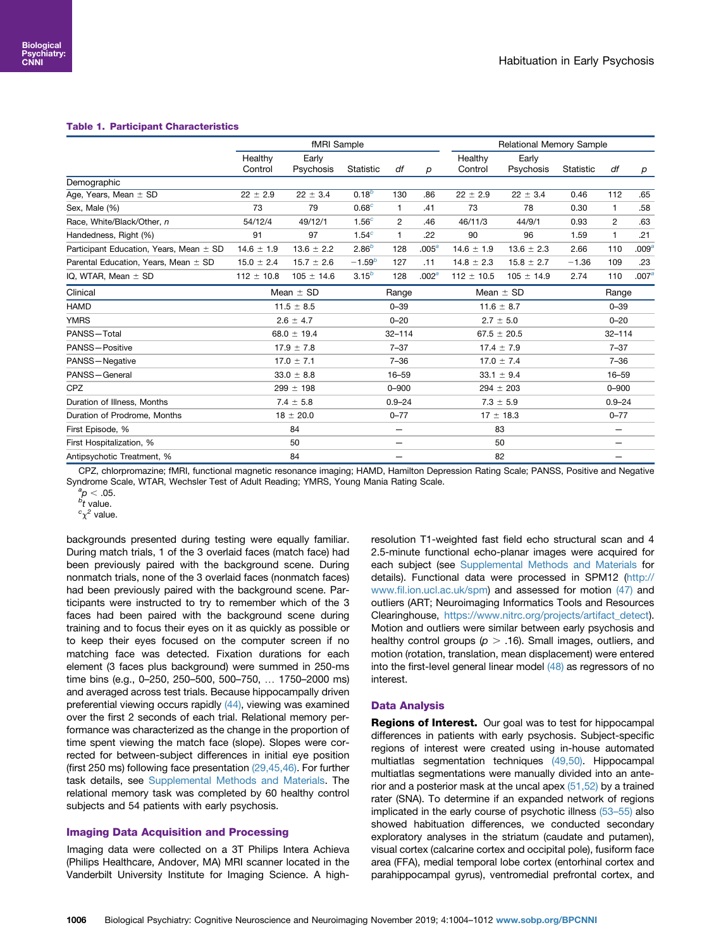#### <span id="page-2-0"></span>Table 1. Participant Characteristics

|                                          | fMRI Sample        |                    |                          |                |                   | Relational Memory Sample |                    |            |                |                   |
|------------------------------------------|--------------------|--------------------|--------------------------|----------------|-------------------|--------------------------|--------------------|------------|----------------|-------------------|
|                                          | Healthy<br>Control | Early<br>Psychosis | Statistic                | df             | р                 | Healthy<br>Control       | Early<br>Psychosis | Statistic  | df             | p                 |
| Demographic                              |                    |                    |                          |                |                   |                          |                    |            |                |                   |
| Age, Years, Mean $\pm$ SD                | $22 \pm 2.9$       | $22 \pm 3.4$       | $0.18^{b}$               | 130            | .86               | $22 \pm 2.9$             | $22 \pm 3.4$       | 0.46       | 112            | .65               |
| Sex, Male (%)                            | 73                 | 79                 | 0.68 <sup>c</sup>        | $\mathbf{1}$   | .41               | 73                       | 78                 | 0.30       | $\mathbf{1}$   | .58               |
| Race, White/Black/Other, n               | 54/12/4            | 49/12/1            | 1.56 <sup>c</sup>        | $\overline{c}$ | .46               | 46/11/3                  | 44/9/1             | 0.93       | $\overline{2}$ | .63               |
| Handedness, Right (%)                    | 91                 | 97                 | 1.54 <sup>c</sup>        | $\mathbf{1}$   | .22               | 90                       | 96                 | 1.59       | $\mathbf{1}$   | .21               |
| Participant Education, Years, Mean ± SD  | $14.6 \pm 1.9$     | $13.6 \pm 2.2$     | $2.86^{b}$               | 128            | .005 <sup>a</sup> | $14.6 \pm 1.9$           | $13.6 \pm 2.3$     | 2.66       | 110            | .009 <sup>a</sup> |
| Parental Education, Years, Mean $\pm$ SD | $15.0 \pm 2.4$     | $15.7 \pm 2.6$     | $-1.59^{b}$              | 127            | .11               | $14.8 \pm 2.3$           | $15.8 \pm 2.7$     | $-1.36$    | 109            | .23               |
| IQ, WTAR, Mean $\pm$ SD                  | $112 \pm 10.8$     | $105 \pm 14.6$     | $3.15^{b}$               | 128            | .002 <sup>a</sup> | $112 \pm 10.5$           | $105 \pm 14.9$     | 2.74       | 110            | .007 <sup>a</sup> |
| Clinical                                 | Mean $\pm$ SD      |                    | Range                    |                | Mean $\pm$ SD     |                          | Range              |            |                |                   |
| <b>HAMD</b>                              | $11.5 \pm 8.5$     |                    |                          | $0 - 39$       |                   | $11.6 \pm 8.7$           |                    | $0 - 39$   |                |                   |
| <b>YMRS</b>                              | $2.6 \pm 4.7$      |                    |                          | $0 - 20$       |                   | $2.7 \pm 5.0$            |                    | $0 - 20$   |                |                   |
| PANSS-Total                              | $68.0 \pm 19.4$    |                    |                          | $32 - 114$     |                   | $67.5 \pm 20.5$          |                    | $32 - 114$ |                |                   |
| PANSS-Positive                           | $17.9 \pm 7.8$     |                    | $7 - 37$                 |                | $17.4 \pm 7.9$    |                          | $7 - 37$           |            |                |                   |
| PANSS-Negative                           | $17.0 \pm 7.1$     |                    | $7 - 36$                 |                | $17.0 \pm 7.4$    |                          | $7 - 36$           |            |                |                   |
| PANSS-General                            | $33.0 \pm 8.8$     |                    | $16 - 59$                |                | $33.1 \pm 9.4$    |                          | $16 - 59$          |            |                |                   |
| <b>CPZ</b>                               | $299 \pm 198$      |                    | $0 - 900$                |                | $294 \pm 203$     |                          | $0 - 900$          |            |                |                   |
| Duration of Illness, Months              | $7.4 \pm 5.8$      |                    | $0.9 - 24$               |                | $7.3 \pm 5.9$     |                          | $0.9 - 24$         |            |                |                   |
| Duration of Prodrome, Months             | $18 \pm 20.0$      |                    | $0 - 77$                 |                | $17 \pm 18.3$     |                          | $0 - 77$           |            |                |                   |
| First Episode, %                         | 84                 |                    |                          | -              |                   | 83                       |                    | -          |                |                   |
| First Hospitalization, %                 | 50                 |                    | $\overline{\phantom{0}}$ |                |                   | 50                       |                    | -          |                |                   |
| Antipsychotic Treatment, %               | 84                 |                    |                          |                |                   | 82                       |                    |            |                |                   |

CPZ, chlorpromazine; fMRI, functional magnetic resonance imaging; HAMD, Hamilton Depression Rating Scale; PANSS, Positive and Negative Syndrome Scale, WTAR, Wechsler Test of Adult Reading; YMRS, Young Mania Rating Scale.

 ${}^{a}_{p}p$  < .05.<br>  ${}^{b}t$  value.

<sup>o</sup>t value.<br><sup>c</sup>χ<sup>2</sup> value.

backgrounds presented during testing were equally familiar. During match trials, 1 of the 3 overlaid faces (match face) had been previously paired with the background scene. During nonmatch trials, none of the 3 overlaid faces (nonmatch faces) had been previously paired with the background scene. Participants were instructed to try to remember which of the 3 faces had been paired with the background scene during training and to focus their eyes on it as quickly as possible or to keep their eyes focused on the computer screen if no matching face was detected. Fixation durations for each element (3 faces plus background) were summed in 250-ms time bins (e.g., 0-250, 250-500, 500-750, ... 1750-2000 ms) and averaged across test trials. Because hippocampally driven preferential viewing occurs rapidly [\(44\),](#page-7-0) viewing was examined over the first 2 seconds of each trial. Relational memory performance was characterized as the change in the proportion of time spent viewing the match face (slope). Slopes were corrected for between-subject differences in initial eye position (first 250 ms) following face presentation [\(29,45,46\).](#page-7-0) For further task details, see [Supplemental Methods and Materials](#page-8-0). The relational memory task was completed by 60 healthy control subjects and 54 patients with early psychosis.

## Imaging Data Acquisition and Processing

Imaging data were collected on a 3T Philips Intera Achieva (Philips Healthcare, Andover, MA) MRI scanner located in the Vanderbilt University Institute for Imaging Science. A high-

resolution T1-weighted fast field echo structural scan and 4 2.5-minute functional echo-planar images were acquired for each subject (see [Supplemental Methods and Materials](#page-8-0) for details). Functional data were processed in SPM12 [\(http://](http://www.fil.ion.ucl.ac.uk/spm) www.fi[l.ion.ucl.ac.uk/spm\)](http://www.fil.ion.ucl.ac.uk/spm) and assessed for motion [\(47\)](#page-7-0) and outliers (ART; Neuroimaging Informatics Tools and Resources Clearinghouse, [https://www.nitrc.org/projects/artifact\\_detect\)](https://www.nitrc.org/projects/artifact_detect). Motion and outliers were similar between early psychosis and healthy control groups ( $p > .16$ ). Small images, outliers, and motion (rotation, translation, mean displacement) were entered into the first-level general linear model [\(48\)](#page-7-0) as regressors of no interest.

## Data Analysis

Regions of Interest. Our goal was to test for hippocampal differences in patients with early psychosis. Subject-specific regions of interest were created using in-house automated multiatlas segmentation techniques [\(49,50\).](#page-7-0) Hippocampal multiatlas segmentations were manually divided into an anterior and a posterior mask at the uncal apex [\(51,52\)](#page-7-0) by a trained rater (SNA). To determine if an expanded network of regions implicated in the early course of psychotic illness (53–[55\)](#page-7-0) also showed habituation differences, we conducted secondary exploratory analyses in the striatum (caudate and putamen), visual cortex (calcarine cortex and occipital pole), fusiform face area (FFA), medial temporal lobe cortex (entorhinal cortex and parahippocampal gyrus), ventromedial prefrontal cortex, and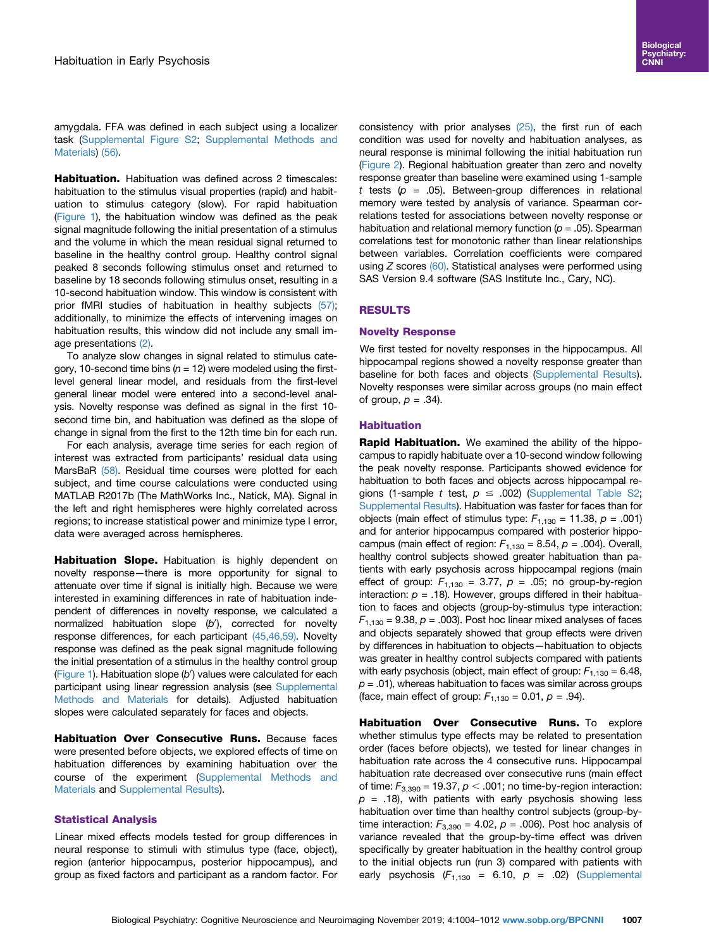amygdala. FFA was defined in each subject using a localizer task ([Supplemental Figure S2;](#page-8-0) [Supplemental Methods and](#page-8-0) [Materials\)](#page-8-0) [\(56\)](#page-7-0).

**Habituation.** Habituation was defined across 2 timescales: habituation to the stimulus visual properties (rapid) and habituation to stimulus category (slow). For rapid habituation ([Figure 1\)](#page-1-0), the habituation window was defined as the peak signal magnitude following the initial presentation of a stimulus and the volume in which the mean residual signal returned to baseline in the healthy control group. Healthy control signal peaked 8 seconds following stimulus onset and returned to baseline by 18 seconds following stimulus onset, resulting in a 10-second habituation window. This window is consistent with prior fMRI studies of habituation in healthy subjects [\(57\)](#page-7-0); additionally, to minimize the effects of intervening images on habituation results, this window did not include any small image presentations [\(2\)](#page-6-0).

To analyze slow changes in signal related to stimulus category, 10-second time bins ( $n = 12$ ) were modeled using the firstlevel general linear model, and residuals from the first-level general linear model were entered into a second-level analysis. Novelty response was defined as signal in the first 10 second time bin, and habituation was defined as the slope of change in signal from the first to the 12th time bin for each run.

For each analysis, average time series for each region of interest was extracted from participants' residual data using MarsBaR [\(58\)](#page-7-0). Residual time courses were plotted for each subject, and time course calculations were conducted using MATLAB R2017b (The MathWorks Inc., Natick, MA). Signal in the left and right hemispheres were highly correlated across regions; to increase statistical power and minimize type I error, data were averaged across hemispheres.

Habituation Slope. Habituation is highly dependent on novelty response—there is more opportunity for signal to attenuate over time if signal is initially high. Because we were interested in examining differences in rate of habituation independent of differences in novelty response, we calculated a normalized habituation slope (b'), corrected for novelty response differences, for each participant [\(45,46,59\)](#page-7-0). Novelty response was defined as the peak signal magnitude following the initial presentation of a stimulus in the healthy control group ([Figure 1\)](#page-1-0). Habituation slope  $(b')$  values were calculated for each participant using linear regression analysis (see [Supplemental](#page-8-0) [Methods and Materials](#page-8-0) for details). Adjusted habituation slopes were calculated separately for faces and objects.

Habituation Over Consecutive Runs. Because faces were presented before objects, we explored effects of time on habituation differences by examining habituation over the course of the experiment [\(Supplemental Methods and](#page-8-0) [Materials](#page-8-0) and [Supplemental Results](#page-8-0)).

## Statistical Analysis

Linear mixed effects models tested for group differences in neural response to stimuli with stimulus type (face, object), region (anterior hippocampus, posterior hippocampus), and group as fixed factors and participant as a random factor. For consistency with prior analyses [\(25\),](#page-7-0) the first run of each condition was used for novelty and habituation analyses, as neural response is minimal following the initial habituation run [\(Figure 2\)](#page-4-0). Regional habituation greater than zero and novelty response greater than baseline were examined using 1-sample t tests ( $p = .05$ ). Between-group differences in relational memory were tested by analysis of variance. Spearman correlations tested for associations between novelty response or habituation and relational memory function ( $p = .05$ ). Spearman correlations test for monotonic rather than linear relationships between variables. Correlation coefficients were compared using  $Z$  scores  $(60)$ . Statistical analyses were performed using SAS Version 9.4 software (SAS Institute Inc., Cary, NC).

## RESULTS

#### Novelty Response

We first tested for novelty responses in the hippocampus. All hippocampal regions showed a novelty response greater than baseline for both faces and objects [\(Supplemental Results\)](#page-8-0). Novelty responses were similar across groups (no main effect of group,  $p = .34$ ).

#### **Habituation**

Rapid Habituation. We examined the ability of the hippocampus to rapidly habituate over a 10-second window following the peak novelty response. Participants showed evidence for habituation to both faces and objects across hippocampal regions (1-sample t test,  $p \le .002$ ) [\(Supplemental Table S2;](#page-8-0) [Supplemental Results\)](#page-8-0). Habituation was faster for faces than for objects (main effect of stimulus type:  $F_{1,130} = 11.38$ ,  $p = .001$ ) and for anterior hippocampus compared with posterior hippocampus (main effect of region:  $F_{1,130} = 8.54$ ,  $p = .004$ ). Overall, healthy control subjects showed greater habituation than patients with early psychosis across hippocampal regions (main effect of group:  $F_{1,130} = 3.77$ ,  $p = .05$ ; no group-by-region interaction:  $p = .18$ ). However, groups differed in their habituation to faces and objects (group-by-stimulus type interaction:  $F_{1,130}$  = 9.38,  $p = 0.003$ . Post hoc linear mixed analyses of faces and objects separately showed that group effects were driven by differences in habituation to objects—habituation to objects was greater in healthy control subjects compared with patients with early psychosis (object, main effect of group:  $F_{1,130} = 6.48$ ,  $p = .01$ ), whereas habituation to faces was similar across groups (face, main effect of group:  $F_{1,130} = 0.01$ ,  $p = .94$ ).

Habituation Over Consecutive Runs. To explore whether stimulus type effects may be related to presentation order (faces before objects), we tested for linear changes in habituation rate across the 4 consecutive runs. Hippocampal habituation rate decreased over consecutive runs (main effect of time:  $F_{3,390}$  = 19.37,  $p < .001$ ; no time-by-region interaction:  $p = .18$ ), with patients with early psychosis showing less habituation over time than healthy control subjects (group-bytime interaction:  $F_{3,390}$  = 4.02,  $p = .006$ ). Post hoc analysis of variance revealed that the group-by-time effect was driven specifically by greater habituation in the healthy control group to the initial objects run (run 3) compared with patients with early psychosis  $(F_{1,130} = 6.10, p = .02)$  [\(Supplemental](#page-8-0)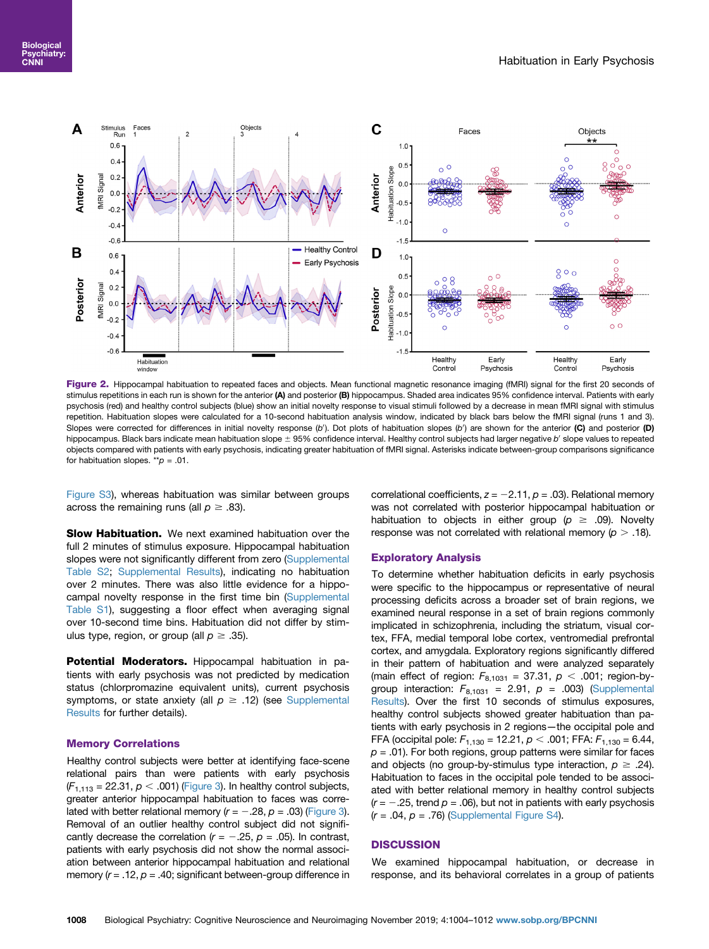<span id="page-4-0"></span>

Figure 2. Hippocampal habituation to repeated faces and objects. Mean functional magnetic resonance imaging (fMRI) signal for the first 20 seconds of stimulus repetitions in each run is shown for the anterior (A) and posterior (B) hippocampus. Shaded area indicates 95% confidence interval. Patients with early psychosis (red) and healthy control subjects (blue) show an initial novelty response to visual stimuli followed by a decrease in mean fMRI signal with stimulus repetition. Habituation slopes were calculated for a 10-second habituation analysis window, indicated by black bars below the fMRI signal (runs 1 and 3). Slopes were corrected for differences in initial novelty response (b'). Dot plots of habituation slopes (b') are shown for the anterior (C) and posterior (D) hippocampus. Black bars indicate mean habituation slope  $\pm$  95% confidence interval. Healthy control subjects had larger negative b' slope values to repeated objects compared with patients with early psychosis, indicating greater habituation of fMRI signal. Asterisks indicate between-group comparisons significance for habituation slopes. \*\* $p = .01$ .

[Figure S3\)](#page-8-0), whereas habituation was similar between groups across the remaining runs (all  $p \ge .83$ ).

**Slow Habituation.** We next examined habituation over the full 2 minutes of stimulus exposure. Hippocampal habituation slopes were not significantly different from zero ([Supplemental](#page-8-0) [Table S2](#page-8-0); [Supplemental Results\)](#page-8-0), indicating no habituation over 2 minutes. There was also little evidence for a hippocampal novelty response in the first time bin ([Supplemental](#page-8-0) [Table S1](#page-8-0)), suggesting a floor effect when averaging signal over 10-second time bins. Habituation did not differ by stimulus type, region, or group (all  $p \ge .35$ ).

Potential Moderators. Hippocampal habituation in patients with early psychosis was not predicted by medication status (chlorpromazine equivalent units), current psychosis symptoms, or state anxiety (all  $p \geq .12$ ) (see [Supplemental](#page-8-0) [Results](#page-8-0) for further details).

#### Memory Correlations

Healthy control subjects were better at identifying face-scene relational pairs than were patients with early psychosis  $(F_{1,113} = 22.31, p < .001)$  ([Figure 3](#page-5-0)). In healthy control subjects, greater anterior hippocampal habituation to faces was correlated with better relational memory ( $r = -.28$ ,  $p = .03$ ) [\(Figure 3](#page-5-0)). Removal of an outlier healthy control subject did not significantly decrease the correlation ( $r = -.25$ ,  $p = .05$ ). In contrast, patients with early psychosis did not show the normal association between anterior hippocampal habituation and relational memory ( $r = .12$ ,  $p = .40$ ; significant between-group difference in

correlational coefficients,  $z = -2.11$ ,  $p = .03$ ). Relational memory was not correlated with posterior hippocampal habituation or habituation to objects in either group ( $p \ge .09$ ). Novelty response was not correlated with relational memory ( $p > .18$ ).

#### Exploratory Analysis

To determine whether habituation deficits in early psychosis were specific to the hippocampus or representative of neural processing deficits across a broader set of brain regions, we examined neural response in a set of brain regions commonly implicated in schizophrenia, including the striatum, visual cortex, FFA, medial temporal lobe cortex, ventromedial prefrontal cortex, and amygdala. Exploratory regions significantly differed in their pattern of habituation and were analyzed separately (main effect of region:  $F_{8,1031} = 37.31, p < .001$ ; region-bygroup interaction:  $F_{8,1031} = 2.91$ ,  $p = .003$ ) [\(Supplemental](#page-8-0) [Results\)](#page-8-0). Over the first 10 seconds of stimulus exposures, healthy control subjects showed greater habituation than patients with early psychosis in 2 regions—the occipital pole and FFA (occipital pole:  $F_{1,130}$  = 12.21,  $p < .001$ ; FFA:  $F_{1,130}$  = 6.44,  $p = .01$ ). For both regions, group patterns were similar for faces and objects (no group-by-stimulus type interaction,  $p \ge 0.24$ ). Habituation to faces in the occipital pole tended to be associated with better relational memory in healthy control subjects  $(r = -.25$ , trend  $p = .06$ ), but not in patients with early psychosis  $(r = .04, p = .76)$  ([Supplemental Figure S4\)](#page-8-0).

#### **DISCUSSION**

We examined hippocampal habituation, or decrease in response, and its behavioral correlates in a group of patients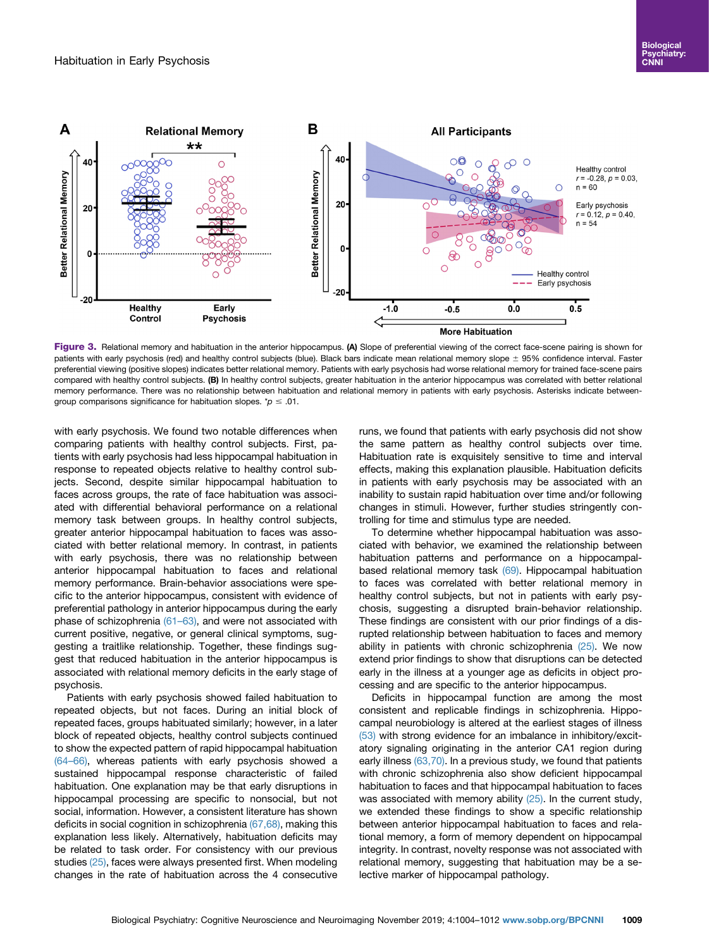<span id="page-5-0"></span>

Figure 3. Relational memory and habituation in the anterior hippocampus. (A) Slope of preferential viewing of the correct face-scene pairing is shown for patients with early psychosis (red) and healthy control subjects (blue). Black bars indicate mean relational memory slope ± 95% confidence interval. Faster preferential viewing (positive slopes) indicates better relational memory. Patients with early psychosis had worse relational memory for trained face-scene pairs compared with healthy control subjects. (B) In healthy control subjects, greater habituation in the anterior hippocampus was correlated with better relational memory performance. There was no relationship between habituation and relational memory in patients with early psychosis. Asterisks indicate betweengroup comparisons significance for habituation slopes.  $p \leq .01$ .

with early psychosis. We found two notable differences when comparing patients with healthy control subjects. First, patients with early psychosis had less hippocampal habituation in response to repeated objects relative to healthy control subjects. Second, despite similar hippocampal habituation to faces across groups, the rate of face habituation was associated with differential behavioral performance on a relational memory task between groups. In healthy control subjects, greater anterior hippocampal habituation to faces was associated with better relational memory. In contrast, in patients with early psychosis, there was no relationship between anterior hippocampal habituation to faces and relational memory performance. Brain-behavior associations were specific to the anterior hippocampus, consistent with evidence of preferential pathology in anterior hippocampus during the early phase of schizophrenia [\(61](#page-8-0)–63), and were not associated with current positive, negative, or general clinical symptoms, suggesting a traitlike relationship. Together, these findings suggest that reduced habituation in the anterior hippocampus is associated with relational memory deficits in the early stage of psychosis.

Patients with early psychosis showed failed habituation to repeated objects, but not faces. During an initial block of repeated faces, groups habituated similarly; however, in a later block of repeated objects, healthy control subjects continued to show the expected pattern of rapid hippocampal habituation (64–[66\),](#page-8-0) whereas patients with early psychosis showed a sustained hippocampal response characteristic of failed habituation. One explanation may be that early disruptions in hippocampal processing are specific to nonsocial, but not social, information. However, a consistent literature has shown deficits in social cognition in schizophrenia [\(67,68\)](#page-8-0), making this explanation less likely. Alternatively, habituation deficits may be related to task order. For consistency with our previous studies [\(25\),](#page-7-0) faces were always presented first. When modeling changes in the rate of habituation across the 4 consecutive runs, we found that patients with early psychosis did not show the same pattern as healthy control subjects over time. Habituation rate is exquisitely sensitive to time and interval effects, making this explanation plausible. Habituation deficits in patients with early psychosis may be associated with an inability to sustain rapid habituation over time and/or following changes in stimuli. However, further studies stringently controlling for time and stimulus type are needed.

To determine whether hippocampal habituation was associated with behavior, we examined the relationship between habituation patterns and performance on a hippocampal-based relational memory task [\(69\)](#page-8-0). Hippocampal habituation to faces was correlated with better relational memory in healthy control subjects, but not in patients with early psychosis, suggesting a disrupted brain-behavior relationship. These findings are consistent with our prior findings of a disrupted relationship between habituation to faces and memory ability in patients with chronic schizophrenia  $(25)$ . We now extend prior findings to show that disruptions can be detected early in the illness at a younger age as deficits in object processing and are specific to the anterior hippocampus.

Deficits in hippocampal function are among the most consistent and replicable findings in schizophrenia. Hippocampal neurobiology is altered at the earliest stages of illness [\(53\)](#page-7-0) with strong evidence for an imbalance in inhibitory/excitatory signaling originating in the anterior CA1 region during early illness [\(63,70\)](#page-8-0). In a previous study, we found that patients with chronic schizophrenia also show deficient hippocampal habituation to faces and that hippocampal habituation to faces was associated with memory ability [\(25\)](#page-7-0). In the current study, we extended these findings to show a specific relationship between anterior hippocampal habituation to faces and relational memory, a form of memory dependent on hippocampal integrity. In contrast, novelty response was not associated with relational memory, suggesting that habituation may be a selective marker of hippocampal pathology.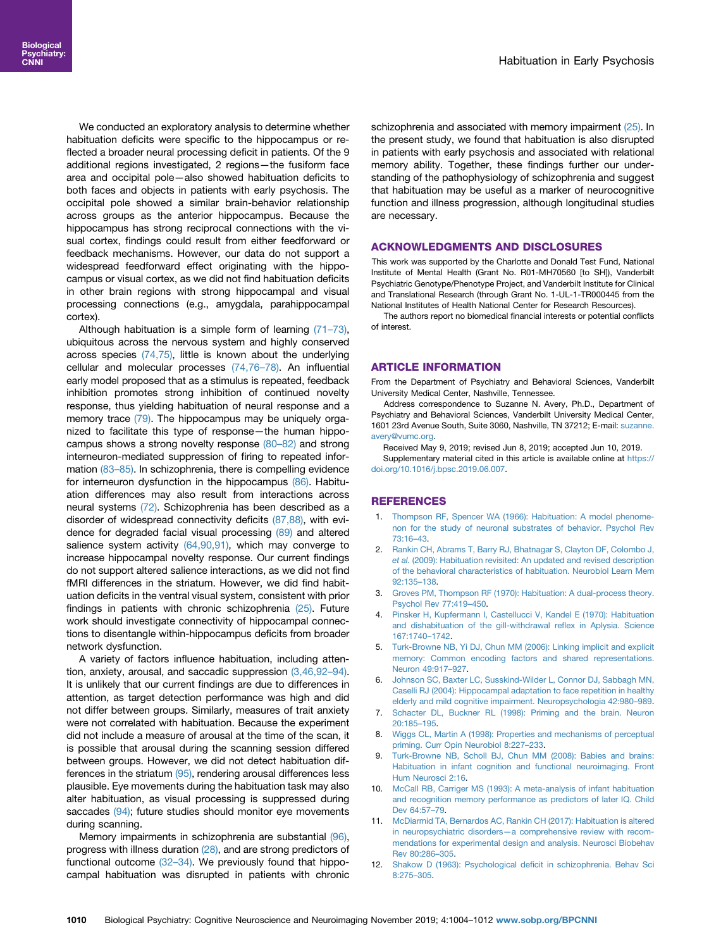<span id="page-6-0"></span>We conducted an exploratory analysis to determine whether habituation deficits were specific to the hippocampus or reflected a broader neural processing deficit in patients. Of the 9 additional regions investigated, 2 regions—the fusiform face area and occipital pole—also showed habituation deficits to both faces and objects in patients with early psychosis. The occipital pole showed a similar brain-behavior relationship across groups as the anterior hippocampus. Because the hippocampus has strong reciprocal connections with the visual cortex, findings could result from either feedforward or feedback mechanisms. However, our data do not support a widespread feedforward effect originating with the hippocampus or visual cortex, as we did not find habituation deficits in other brain regions with strong hippocampal and visual processing connections (e.g., amygdala, parahippocampal cortex).

Although habituation is a simple form of learning [\(71](#page-8-0)–73), ubiquitous across the nervous system and highly conserved across species [\(74,75\)](#page-8-0), little is known about the underlying cellular and molecular processes [\(74,76](#page-8-0)–78). An influential early model proposed that as a stimulus is repeated, feedback inhibition promotes strong inhibition of continued novelty response, thus yielding habituation of neural response and a memory trace [\(79\)](#page-8-0). The hippocampus may be uniquely organized to facilitate this type of response—the human hippocampus shows a strong novelty response [\(80](#page-8-0)–82) and strong interneuron-mediated suppression of firing to repeated information [\(83](#page-8-0)–85). In schizophrenia, there is compelling evidence for interneuron dysfunction in the hippocampus [\(86\).](#page-8-0) Habituation differences may also result from interactions across neural systems [\(72\).](#page-8-0) Schizophrenia has been described as a disorder of widespread connectivity deficits [\(87,88\)](#page-8-0), with evidence for degraded facial visual processing [\(89\)](#page-8-0) and altered salience system activity [\(64,90,91\),](#page-8-0) which may converge to increase hippocampal novelty response. Our current findings do not support altered salience interactions, as we did not find fMRI differences in the striatum. However, we did find habituation deficits in the ventral visual system, consistent with prior findings in patients with chronic schizophrenia [\(25\)](#page-7-0). Future work should investigate connectivity of hippocampal connections to disentangle within-hippocampus deficits from broader network dysfunction.

A variety of factors influence habituation, including attention, anxiety, arousal, and saccadic suppression (3,46,92–94). It is unlikely that our current findings are due to differences in attention, as target detection performance was high and did not differ between groups. Similarly, measures of trait anxiety were not correlated with habituation. Because the experiment did not include a measure of arousal at the time of the scan, it is possible that arousal during the scanning session differed between groups. However, we did not detect habituation differences in the striatum [\(95\)](#page-8-0), rendering arousal differences less plausible. Eye movements during the habituation task may also alter habituation, as visual processing is suppressed during saccades [\(94\)](#page-8-0); future studies should monitor eye movements during scanning.

Memory impairments in schizophrenia are substantial [\(96\)](#page-8-0), progress with illness duration [\(28\),](#page-7-0) and are strong predictors of functional outcome (32–[34\).](#page-7-0) We previously found that hippocampal habituation was disrupted in patients with chronic

schizophrenia and associated with memory impairment [\(25\).](#page-7-0) In the present study, we found that habituation is also disrupted in patients with early psychosis and associated with relational memory ability. Together, these findings further our understanding of the pathophysiology of schizophrenia and suggest that habituation may be useful as a marker of neurocognitive function and illness progression, although longitudinal studies are necessary.

#### ACKNOWLEDGMENTS AND DISCLOSURES

This work was supported by the Charlotte and Donald Test Fund, National Institute of Mental Health (Grant No. R01-MH70560 [to SH]), Vanderbilt Psychiatric Genotype/Phenotype Project, and Vanderbilt Institute for Clinical and Translational Research (through Grant No. 1-UL-1-TR000445 from the National Institutes of Health National Center for Research Resources).

The authors report no biomedical financial interests or potential conflicts of interest.

#### ARTICLE INFORMATION

From the Department of Psychiatry and Behavioral Sciences, Vanderbilt University Medical Center, Nashville, Tennessee.

Address correspondence to Suzanne N. Avery, Ph.D., Department of Psychiatry and Behavioral Sciences, Vanderbilt University Medical Center, 1601 23rd Avenue South, Suite 3060, Nashville, TN 37212; E-mail: [suzanne.](mailto:suzanne.avery@vumc.org) [avery@vumc.org.](mailto:suzanne.avery@vumc.org)

Received May 9, 2019; revised Jun 8, 2019; accepted Jun 10, 2019. Supplementary material cited in this article is available online at [https://](https://doi.org/10.1016/j.bpsc.2019.06.007)

[doi.org/10.1016/j.bpsc.2019.06.007.](https://doi.org/10.1016/j.bpsc.2019.06.007)

## **REFERENCES**

- 1. [Thompson RF, Spencer WA \(1966\): Habituation: A model phenome](http://refhub.elsevier.com/S2451-9022(19)30172-7/sref1)[non for the study of neuronal substrates of behavior. Psychol Rev](http://refhub.elsevier.com/S2451-9022(19)30172-7/sref1) [73:16](http://refhub.elsevier.com/S2451-9022(19)30172-7/sref1)–43.
- 2. [Rankin CH, Abrams T, Barry RJ, Bhatnagar S, Clayton DF, Colombo J,](http://refhub.elsevier.com/S2451-9022(19)30172-7/sref2) et al. [\(2009\): Habituation revisited: An updated and revised description](http://refhub.elsevier.com/S2451-9022(19)30172-7/sref2) [of the behavioral characteristics of habituation. Neurobiol Learn Mem](http://refhub.elsevier.com/S2451-9022(19)30172-7/sref2) [92:135](http://refhub.elsevier.com/S2451-9022(19)30172-7/sref2)–138.
- 3. [Groves PM, Thompson RF \(1970\): Habituation: A dual-process theory.](http://refhub.elsevier.com/S2451-9022(19)30172-7/sref3) [Psychol Rev 77:419](http://refhub.elsevier.com/S2451-9022(19)30172-7/sref3)–450.
- 4. [Pinsker H, Kupfermann I, Castellucci V, Kandel E \(1970\): Habituation](http://refhub.elsevier.com/S2451-9022(19)30172-7/sref4) [and dishabituation of the gill-withdrawal re](http://refhub.elsevier.com/S2451-9022(19)30172-7/sref4)flex in Aplysia. Science [167:1740](http://refhub.elsevier.com/S2451-9022(19)30172-7/sref4)–1742.
- 5. [Turk-Browne NB, Yi DJ, Chun MM \(2006\): Linking implicit and explicit](http://refhub.elsevier.com/S2451-9022(19)30172-7/sref5) [memory: Common encoding factors and shared representations.](http://refhub.elsevier.com/S2451-9022(19)30172-7/sref5) [Neuron 49:917](http://refhub.elsevier.com/S2451-9022(19)30172-7/sref5)–927.
- 6. [Johnson SC, Baxter LC, Susskind-Wilder L, Connor DJ, Sabbagh MN,](http://refhub.elsevier.com/S2451-9022(19)30172-7/sref6) [Caselli RJ \(2004\): Hippocampal adaptation to face repetition in healthy](http://refhub.elsevier.com/S2451-9022(19)30172-7/sref6) [elderly and mild cognitive impairment. Neuropsychologia 42:980](http://refhub.elsevier.com/S2451-9022(19)30172-7/sref6)–989.
- 7. [Schacter DL, Buckner RL \(1998\): Priming and the brain. Neuron](http://refhub.elsevier.com/S2451-9022(19)30172-7/sref7) [20:185](http://refhub.elsevier.com/S2451-9022(19)30172-7/sref7)–195.
- 8. [Wiggs CL, Martin A \(1998\): Properties and mechanisms of perceptual](http://refhub.elsevier.com/S2451-9022(19)30172-7/sref8) [priming. Curr Opin Neurobiol 8:227](http://refhub.elsevier.com/S2451-9022(19)30172-7/sref8)–233.
- [Turk-Browne NB, Scholl BJ, Chun MM \(2008\): Babies and brains:](http://refhub.elsevier.com/S2451-9022(19)30172-7/sref9) [Habituation in infant cognition and functional neuroimaging. Front](http://refhub.elsevier.com/S2451-9022(19)30172-7/sref9) [Hum Neurosci 2:16](http://refhub.elsevier.com/S2451-9022(19)30172-7/sref9).
- 10. [McCall RB, Carriger MS \(1993\): A meta-analysis of infant habituation](http://refhub.elsevier.com/S2451-9022(19)30172-7/sref10) [and recognition memory performance as predictors of later IQ. Child](http://refhub.elsevier.com/S2451-9022(19)30172-7/sref10) [Dev 64:57](http://refhub.elsevier.com/S2451-9022(19)30172-7/sref10)–79.
- 11. [McDiarmid TA, Bernardos AC, Rankin CH \(2017\): Habituation is altered](http://refhub.elsevier.com/S2451-9022(19)30172-7/sref11) in neuropsychiatric disorders—[a comprehensive review with recom](http://refhub.elsevier.com/S2451-9022(19)30172-7/sref11)[mendations for experimental design and analysis. Neurosci Biobehav](http://refhub.elsevier.com/S2451-9022(19)30172-7/sref11) [Rev 80:286](http://refhub.elsevier.com/S2451-9022(19)30172-7/sref11)–305.
- 12. [Shakow D \(1963\): Psychological de](http://refhub.elsevier.com/S2451-9022(19)30172-7/sref12)ficit in schizophrenia. Behav Sci [8:275](http://refhub.elsevier.com/S2451-9022(19)30172-7/sref12)–305.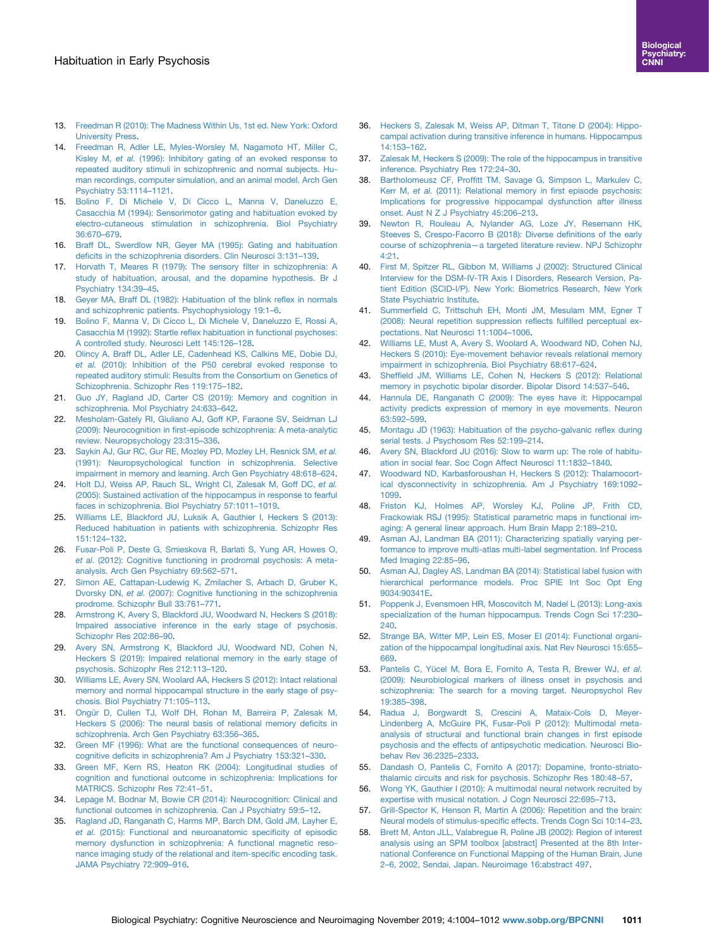- <span id="page-7-0"></span>13. [Freedman R \(2010\): The Madness Within Us, 1st ed. New York: Oxford](http://refhub.elsevier.com/S2451-9022(19)30172-7/sref13) [University Press.](http://refhub.elsevier.com/S2451-9022(19)30172-7/sref13)
- 14. [Freedman R, Adler LE, Myles-Worsley M, Nagamoto HT, Miller C,](http://refhub.elsevier.com/S2451-9022(19)30172-7/sref14) Kisley M, et al. [\(1996\): Inhibitory gating of an evoked response to](http://refhub.elsevier.com/S2451-9022(19)30172-7/sref14) [repeated auditory stimuli in schizophrenic and normal subjects. Hu](http://refhub.elsevier.com/S2451-9022(19)30172-7/sref14)[man recordings, computer simulation, and an animal model. Arch Gen](http://refhub.elsevier.com/S2451-9022(19)30172-7/sref14) [Psychiatry 53:1114](http://refhub.elsevier.com/S2451-9022(19)30172-7/sref14)–1121.
- 15. [Bolino F, Di Michele V, Di Cicco L, Manna V, Daneluzzo E,](http://refhub.elsevier.com/S2451-9022(19)30172-7/sref15) [Casacchia M \(1994\): Sensorimotor gating and habituation evoked by](http://refhub.elsevier.com/S2451-9022(19)30172-7/sref15) [electro-cutaneous stimulation in schizophrenia. Biol Psychiatry](http://refhub.elsevier.com/S2451-9022(19)30172-7/sref15) [36:670](http://refhub.elsevier.com/S2451-9022(19)30172-7/sref15)–679.
- 16. [Braff DL, Swerdlow NR, Geyer MA \(1995\): Gating and habituation](http://refhub.elsevier.com/S2451-9022(19)30172-7/sref16) defi[cits in the schizophrenia disorders. Clin Neurosci 3:131](http://refhub.elsevier.com/S2451-9022(19)30172-7/sref16)–139.
- 17. [Horvath T, Meares R \(1979\): The sensory](http://refhub.elsevier.com/S2451-9022(19)30172-7/sref17) filter in schizophrenia: A [study of habituation, arousal, and the dopamine hypothesis. Br J](http://refhub.elsevier.com/S2451-9022(19)30172-7/sref17) [Psychiatry 134:39](http://refhub.elsevier.com/S2451-9022(19)30172-7/sref17)–45.
- 18. [Geyer MA, Braff DL \(1982\): Habituation of the blink re](http://refhub.elsevier.com/S2451-9022(19)30172-7/sref18)flex in normals [and schizophrenic patients. Psychophysiology 19:1](http://refhub.elsevier.com/S2451-9022(19)30172-7/sref18)–6.
- 19. [Bolino F, Manna V, Di Cicco L, Di Michele V, Daneluzzo E, Rossi A,](http://refhub.elsevier.com/S2451-9022(19)30172-7/sref19) Casacchia M (1992): Startle refl[ex habituation in functional psychoses:](http://refhub.elsevier.com/S2451-9022(19)30172-7/sref19) [A controlled study. Neurosci Lett 145:126](http://refhub.elsevier.com/S2451-9022(19)30172-7/sref19)–128.
- 20. [Olincy A, Braff DL, Adler LE, Cadenhead KS, Calkins ME, Dobie DJ,](http://refhub.elsevier.com/S2451-9022(19)30172-7/sref20) et al. [\(2010\): Inhibition of the P50 cerebral evoked response to](http://refhub.elsevier.com/S2451-9022(19)30172-7/sref20) [repeated auditory stimuli: Results from the Consortium on Genetics of](http://refhub.elsevier.com/S2451-9022(19)30172-7/sref20) [Schizophrenia. Schizophr Res 119:175](http://refhub.elsevier.com/S2451-9022(19)30172-7/sref20)–182.
- 21. [Guo JY, Ragland JD, Carter CS \(2019\): Memory and cognition in](http://refhub.elsevier.com/S2451-9022(19)30172-7/sref21) [schizophrenia. Mol Psychiatry 24:633](http://refhub.elsevier.com/S2451-9022(19)30172-7/sref21)–642.
- 22. [Mesholam-Gately RI, Giuliano AJ, Goff KP, Faraone SV, Seidman LJ](http://refhub.elsevier.com/S2451-9022(19)30172-7/sref22) (2009): Neurocognition in fi[rst-episode schizophrenia: A meta-analytic](http://refhub.elsevier.com/S2451-9022(19)30172-7/sref22) [review. Neuropsychology 23:315](http://refhub.elsevier.com/S2451-9022(19)30172-7/sref22)–336.
- 23. [Saykin AJ, Gur RC, Gur RE, Mozley PD, Mozley LH, Resnick SM,](http://refhub.elsevier.com/S2451-9022(19)30172-7/sref23) et al. [\(1991\): Neuropsychological function in schizophrenia. Selective](http://refhub.elsevier.com/S2451-9022(19)30172-7/sref23) [impairment in memory and learning. Arch Gen Psychiatry 48:618](http://refhub.elsevier.com/S2451-9022(19)30172-7/sref23)–624.
- 24. Holt DJ, Weiss AP, Rauch SL, Wright Cl, Zalesak M, Goff DC, et al. [\(2005\): Sustained activation of the hippocampus in response to fearful](http://refhub.elsevier.com/S2451-9022(19)30172-7/sref24) [faces in schizophrenia. Biol Psychiatry 57:1011](http://refhub.elsevier.com/S2451-9022(19)30172-7/sref24)–1019.
- 25. [Williams LE, Blackford JU, Luksik A, Gauthier I, Heckers S \(2013\):](http://refhub.elsevier.com/S2451-9022(19)30172-7/sref25) [Reduced habituation in patients with schizophrenia. Schizophr Res](http://refhub.elsevier.com/S2451-9022(19)30172-7/sref25) [151:124](http://refhub.elsevier.com/S2451-9022(19)30172-7/sref25)–132.
- 26. [Fusar-Poli P, Deste G, Smieskova R, Barlati S, Yung AR, Howes O,](http://refhub.elsevier.com/S2451-9022(19)30172-7/sref26) et al. [\(2012\): Cognitive functioning in prodromal psychosis: A meta](http://refhub.elsevier.com/S2451-9022(19)30172-7/sref26)[analysis. Arch Gen Psychiatry 69:562](http://refhub.elsevier.com/S2451-9022(19)30172-7/sref26)–571.
- 27. [Simon AE, Cattapan-Ludewig K, Zmilacher S, Arbach D, Gruber K,](http://refhub.elsevier.com/S2451-9022(19)30172-7/sref27) Dvorsky DN, et al. [\(2007\): Cognitive functioning in the schizophrenia](http://refhub.elsevier.com/S2451-9022(19)30172-7/sref27) [prodrome. Schizophr Bull 33:761](http://refhub.elsevier.com/S2451-9022(19)30172-7/sref27)–771.
- 28. [Armstrong K, Avery S, Blackford JU, Woodward N, Heckers S \(2018\):](http://refhub.elsevier.com/S2451-9022(19)30172-7/sref28) [Impaired associative inference in the early stage of psychosis.](http://refhub.elsevier.com/S2451-9022(19)30172-7/sref28) [Schizophr Res 202:86](http://refhub.elsevier.com/S2451-9022(19)30172-7/sref28)–90.
- 29. [Avery SN, Armstrong K, Blackford JU, Woodward ND, Cohen N,](http://refhub.elsevier.com/S2451-9022(19)30172-7/sref96) [Heckers S \(2019\): Impaired relational memory in the early stage of](http://refhub.elsevier.com/S2451-9022(19)30172-7/sref96) [psychosis. Schizophr Res 212:113](http://refhub.elsevier.com/S2451-9022(19)30172-7/sref96)–120.
- 30. [Williams LE, Avery SN, Woolard AA, Heckers S \(2012\): Intact relational](http://refhub.elsevier.com/S2451-9022(19)30172-7/sref29) [memory and normal hippocampal structure in the early stage of psy](http://refhub.elsevier.com/S2451-9022(19)30172-7/sref29)[chosis. Biol Psychiatry 71:105](http://refhub.elsevier.com/S2451-9022(19)30172-7/sref29)–113.
- 31. [Ongür D, Cullen TJ, Wolf DH, Rohan M, Barreira P, Zalesak M,](http://refhub.elsevier.com/S2451-9022(19)30172-7/sref30) [Heckers S \(2006\): The neural basis of relational memory de](http://refhub.elsevier.com/S2451-9022(19)30172-7/sref30)ficits in [schizophrenia. Arch Gen Psychiatry 63:356](http://refhub.elsevier.com/S2451-9022(19)30172-7/sref30)–365.
- 32. [Green MF \(1996\): What are the functional consequences of neuro](http://refhub.elsevier.com/S2451-9022(19)30172-7/sref31)cognitive defi[cits in schizophrenia? Am J Psychiatry 153:321](http://refhub.elsevier.com/S2451-9022(19)30172-7/sref31)–330.
- 33. [Green MF, Kern RS, Heaton RK \(2004\): Longitudinal studies of](http://refhub.elsevier.com/S2451-9022(19)30172-7/sref32) [cognition and functional outcome in schizophrenia: Implications for](http://refhub.elsevier.com/S2451-9022(19)30172-7/sref32) [MATRICS. Schizophr Res 72:41](http://refhub.elsevier.com/S2451-9022(19)30172-7/sref32)–51.
- 34. [Lepage M, Bodnar M, Bowie CR \(2014\): Neurocognition: Clinical and](http://refhub.elsevier.com/S2451-9022(19)30172-7/sref33) [functional outcomes in schizophrenia. Can J Psychiatry 59:5](http://refhub.elsevier.com/S2451-9022(19)30172-7/sref33)–12.
- 35. [Ragland JD, Ranganath C, Harms MP, Barch DM, Gold JM, Layher E,](http://refhub.elsevier.com/S2451-9022(19)30172-7/sref34) et al. [\(2015\): Functional and neuroanatomic speci](http://refhub.elsevier.com/S2451-9022(19)30172-7/sref34)ficity of episodic [memory dysfunction in schizophrenia: A functional magnetic reso](http://refhub.elsevier.com/S2451-9022(19)30172-7/sref34)[nance imaging study of the relational and item-speci](http://refhub.elsevier.com/S2451-9022(19)30172-7/sref34)fic encoding task. [JAMA Psychiatry 72:909](http://refhub.elsevier.com/S2451-9022(19)30172-7/sref34)–916.
- 36. [Heckers S, Zalesak M, Weiss AP, Ditman T, Titone D \(2004\): Hippo](http://refhub.elsevier.com/S2451-9022(19)30172-7/sref35)[campal activation during transitive inference in humans. Hippocampus](http://refhub.elsevier.com/S2451-9022(19)30172-7/sref35) [14:153](http://refhub.elsevier.com/S2451-9022(19)30172-7/sref35)–162.
- 37. [Zalesak M, Heckers S \(2009\): The role of the hippocampus in transitive](http://refhub.elsevier.com/S2451-9022(19)30172-7/sref36) [inference. Psychiatry Res 172:24](http://refhub.elsevier.com/S2451-9022(19)30172-7/sref36)–30.
- 38. Bartholomeusz CF, Proffi[tt TM, Savage G, Simpson L, Markulev C,](http://refhub.elsevier.com/S2451-9022(19)30172-7/sref37) Kerr M, et al. [\(2011\): Relational memory in](http://refhub.elsevier.com/S2451-9022(19)30172-7/sref37) first episode psychosis: [Implications for progressive hippocampal dysfunction after illness](http://refhub.elsevier.com/S2451-9022(19)30172-7/sref37) [onset. Aust N Z J Psychiatry 45:206](http://refhub.elsevier.com/S2451-9022(19)30172-7/sref37)–213.
- 39. [Newton R, Rouleau A, Nylander AG, Loze JY, Resemann HK,](http://refhub.elsevier.com/S2451-9022(19)30172-7/sref38) [Steeves S, Crespo-Facorro B \(2018\): Diverse de](http://refhub.elsevier.com/S2451-9022(19)30172-7/sref38)finitions of the early course of schizophrenia—[a targeted literature review. NPJ Schizophr](http://refhub.elsevier.com/S2451-9022(19)30172-7/sref38) [4:21](http://refhub.elsevier.com/S2451-9022(19)30172-7/sref38).
- 40. [First M, Spitzer RL, Gibbon M, Williams J \(2002\): Structured Clinical](http://refhub.elsevier.com/S2451-9022(19)30172-7/sref39) [Interview for the DSM-IV-TR Axis I Disorders, Research Version, Pa](http://refhub.elsevier.com/S2451-9022(19)30172-7/sref39)[tient Edition \(SCID-I/P\). New York: Biometrics Research, New York](http://refhub.elsevier.com/S2451-9022(19)30172-7/sref39) [State Psychiatric Institute.](http://refhub.elsevier.com/S2451-9022(19)30172-7/sref39)
- 41. Summerfi[eld C, Trittschuh EH, Monti JM, Mesulam MM, Egner T](http://refhub.elsevier.com/S2451-9022(19)30172-7/sref40) [\(2008\): Neural repetition suppression re](http://refhub.elsevier.com/S2451-9022(19)30172-7/sref40)flects fulfilled perceptual ex[pectations. Nat Neurosci 11:1004](http://refhub.elsevier.com/S2451-9022(19)30172-7/sref40)–1006.
- 42. [Williams LE, Must A, Avery S, Woolard A, Woodward ND, Cohen NJ,](http://refhub.elsevier.com/S2451-9022(19)30172-7/sref41) [Heckers S \(2010\): Eye-movement behavior reveals relational memory](http://refhub.elsevier.com/S2451-9022(19)30172-7/sref41) [impairment in schizophrenia. Biol Psychiatry 68:617](http://refhub.elsevier.com/S2451-9022(19)30172-7/sref41)–624.
- 43. Sheffi[eld JM, Williams LE, Cohen N, Heckers S \(2012\): Relational](http://refhub.elsevier.com/S2451-9022(19)30172-7/sref42) [memory in psychotic bipolar disorder. Bipolar Disord 14:537](http://refhub.elsevier.com/S2451-9022(19)30172-7/sref42)–546.
- 44. [Hannula DE, Ranganath C \(2009\): The eyes have it: Hippocampal](http://refhub.elsevier.com/S2451-9022(19)30172-7/sref43) [activity predicts expression of memory in eye movements. Neuron](http://refhub.elsevier.com/S2451-9022(19)30172-7/sref43) [63:592](http://refhub.elsevier.com/S2451-9022(19)30172-7/sref43)–599.
- 45. [Montagu JD \(1963\): Habituation of the psycho-galvanic re](http://refhub.elsevier.com/S2451-9022(19)30172-7/sref44)flex during [serial tests. J Psychosom Res 52:199](http://refhub.elsevier.com/S2451-9022(19)30172-7/sref44)–214.
- 46. [Avery SN, Blackford JU \(2016\): Slow to warm up: The role of habitu](http://refhub.elsevier.com/S2451-9022(19)30172-7/sref45)[ation in social fear. Soc Cogn Affect Neurosci 11:1832](http://refhub.elsevier.com/S2451-9022(19)30172-7/sref45)–1840.
- 47. [Woodward ND, Karbasforoushan H, Heckers S \(2012\): Thalamocort](http://refhub.elsevier.com/S2451-9022(19)30172-7/sref46)[ical dysconnectivity in schizophrenia. Am J Psychiatry 169:1092](http://refhub.elsevier.com/S2451-9022(19)30172-7/sref46)– [1099](http://refhub.elsevier.com/S2451-9022(19)30172-7/sref46).
- 48. [Friston KJ, Holmes AP, Worsley KJ, Poline JP, Frith CD,](http://refhub.elsevier.com/S2451-9022(19)30172-7/sref47) [Frackowiak RSJ \(1995\): Statistical parametric maps in functional im](http://refhub.elsevier.com/S2451-9022(19)30172-7/sref47)[aging: A general linear approach. Hum Brain Mapp 2:189](http://refhub.elsevier.com/S2451-9022(19)30172-7/sref47)–210.
- 49. [Asman AJ, Landman BA \(2011\): Characterizing spatially varying per](http://refhub.elsevier.com/S2451-9022(19)30172-7/sref48)[formance to improve multi-atlas multi-label segmentation. Inf Process](http://refhub.elsevier.com/S2451-9022(19)30172-7/sref48) [Med Imaging 22:85](http://refhub.elsevier.com/S2451-9022(19)30172-7/sref48)–96.
- 50. [Asman AJ, Dagley AS, Landman BA \(2014\): Statistical label fusion with](http://refhub.elsevier.com/S2451-9022(19)30172-7/sref49) [hierarchical performance models. Proc SPIE Int Soc Opt Eng](http://refhub.elsevier.com/S2451-9022(19)30172-7/sref49) [9034:90341E.](http://refhub.elsevier.com/S2451-9022(19)30172-7/sref49)
- 51. [Poppenk J, Evensmoen HR, Moscovitch M, Nadel L \(2013\): Long-axis](http://refhub.elsevier.com/S2451-9022(19)30172-7/sref50) [specialization of the human hippocampus. Trends Cogn Sci 17:230](http://refhub.elsevier.com/S2451-9022(19)30172-7/sref50)– [240.](http://refhub.elsevier.com/S2451-9022(19)30172-7/sref50)
- 52. [Strange BA, Witter MP, Lein ES, Moser EI \(2014\): Functional organi](http://refhub.elsevier.com/S2451-9022(19)30172-7/sref51)[zation of the hippocampal longitudinal axis. Nat Rev Neurosci 15:655](http://refhub.elsevier.com/S2451-9022(19)30172-7/sref51)– [669.](http://refhub.elsevier.com/S2451-9022(19)30172-7/sref51)
- 53. [Pantelis C, Yücel M, Bora E, Fornito A, Testa R, Brewer WJ,](http://refhub.elsevier.com/S2451-9022(19)30172-7/sref52) et al. [\(2009\): Neurobiological markers of illness onset in psychosis and](http://refhub.elsevier.com/S2451-9022(19)30172-7/sref52) [schizophrenia: The search for a moving target. Neuropsychol Rev](http://refhub.elsevier.com/S2451-9022(19)30172-7/sref52) [19:385](http://refhub.elsevier.com/S2451-9022(19)30172-7/sref52)–398.
- 54. [Radua J, Borgwardt S, Crescini A, Mataix-Cols D, Meyer-](http://refhub.elsevier.com/S2451-9022(19)30172-7/sref53)[Lindenberg A, McGuire PK, Fusar-Poli P \(2012\): Multimodal meta](http://refhub.elsevier.com/S2451-9022(19)30172-7/sref53)[analysis of structural and functional brain changes in](http://refhub.elsevier.com/S2451-9022(19)30172-7/sref53) first episode [psychosis and the effects of antipsychotic medication. Neurosci Bio](http://refhub.elsevier.com/S2451-9022(19)30172-7/sref53)[behav Rev 36:2325](http://refhub.elsevier.com/S2451-9022(19)30172-7/sref53)–2333.
- 55. [Dandash O, Pantelis C, Fornito A \(2017\): Dopamine, fronto-striato](http://refhub.elsevier.com/S2451-9022(19)30172-7/sref54)[thalamic circuits and risk for psychosis. Schizophr Res 180:48](http://refhub.elsevier.com/S2451-9022(19)30172-7/sref54)–57.
- 56. [Wong YK, Gauthier I \(2010\): A multimodal neural network recruited by](http://refhub.elsevier.com/S2451-9022(19)30172-7/sref55) [expertise with musical notation. J Cogn Neurosci 22:695](http://refhub.elsevier.com/S2451-9022(19)30172-7/sref55)–713.
- 57. [Grill-Spector K, Henson R, Martin A \(2006\): Repetition and the brain:](http://refhub.elsevier.com/S2451-9022(19)30172-7/sref56) Neural models of stimulus-specifi[c effects. Trends Cogn Sci 10:14](http://refhub.elsevier.com/S2451-9022(19)30172-7/sref56)–23.
- 58. [Brett M, Anton JLL, Valabregue R, Poline JB \(2002\): Region of interest](http://refhub.elsevier.com/S2451-9022(19)30172-7/sref57) [analysis using an SPM toolbox \[abstract\] Presented at the 8th Inter](http://refhub.elsevier.com/S2451-9022(19)30172-7/sref57)[national Conference on Functional Mapping of the Human Brain, June](http://refhub.elsevier.com/S2451-9022(19)30172-7/sref57) 2–[6, 2002, Sendai, Japan. Neuroimage 16:abstract 497](http://refhub.elsevier.com/S2451-9022(19)30172-7/sref57).